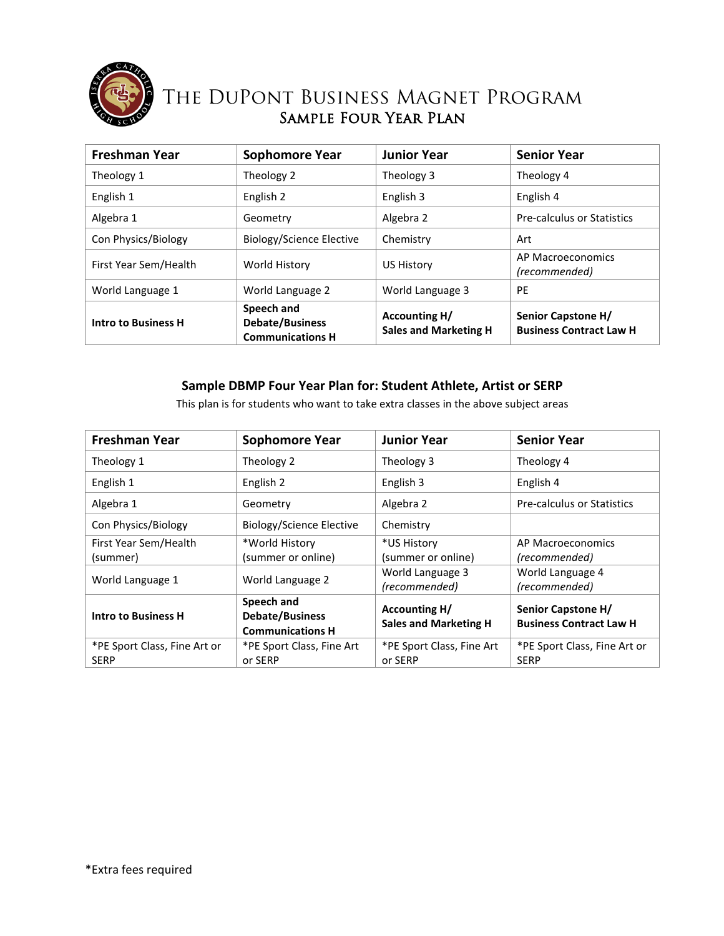

## The DuPont Business Magnet Program Sample Four Year Plan

| <b>Freshman Year</b>       | <b>Sophomore Year</b>                                           | <b>Junior Year</b>                                   | <b>Senior Year</b>                                   |
|----------------------------|-----------------------------------------------------------------|------------------------------------------------------|------------------------------------------------------|
| Theology 1                 | Theology 2                                                      | Theology 3                                           | Theology 4                                           |
| English 1                  | English 2                                                       | English 3                                            | English 4                                            |
| Algebra 1                  | Geometry                                                        | Algebra 2                                            | <b>Pre-calculus or Statistics</b>                    |
| Con Physics/Biology        | Biology/Science Elective                                        | Chemistry                                            | Art                                                  |
| First Year Sem/Health      | World History                                                   | <b>US History</b>                                    | AP Macroeconomics<br>(recommended)                   |
| World Language 1           | World Language 2                                                | World Language 3                                     | <b>PE</b>                                            |
| <b>Intro to Business H</b> | Speech and<br><b>Debate/Business</b><br><b>Communications H</b> | <b>Accounting H/</b><br><b>Sales and Marketing H</b> | Senior Capstone H/<br><b>Business Contract Law H</b> |

## **Sample DBMP Four Year Plan for: Student Athlete, Artist or SERP**

This plan is for students who want to take extra classes in the above subject areas

| <b>Freshman Year</b>         | Sophomore Year                                                  | <b>Junior Year</b>           | <b>Senior Year</b>                |
|------------------------------|-----------------------------------------------------------------|------------------------------|-----------------------------------|
| Theology 1                   | Theology 2                                                      | Theology 3                   | Theology 4                        |
| English 1                    | English 2                                                       | English 3                    | English 4                         |
| Algebra 1                    | Geometry                                                        | Algebra 2                    | <b>Pre-calculus or Statistics</b> |
| Con Physics/Biology          | Biology/Science Elective                                        | Chemistry                    |                                   |
| First Year Sem/Health        | *World History                                                  | *US History                  | AP Macroeconomics                 |
| (summer)                     | (summer or online)                                              | (summer or online)           | (recommended)                     |
| World Language 1             | World Language 2                                                | World Language 3             | World Language 4                  |
|                              |                                                                 | (recommended)                | (recommended)                     |
| <b>Intro to Business H</b>   | Speech and<br><b>Debate/Business</b><br><b>Communications H</b> | Accounting H/                | Senior Capstone H/                |
|                              |                                                                 | <b>Sales and Marketing H</b> | <b>Business Contract Law H</b>    |
| *PE Sport Class, Fine Art or | *PE Sport Class, Fine Art                                       | *PE Sport Class, Fine Art    | *PE Sport Class, Fine Art or      |
| <b>SERP</b>                  | or SERP                                                         | or SERP                      | <b>SERP</b>                       |